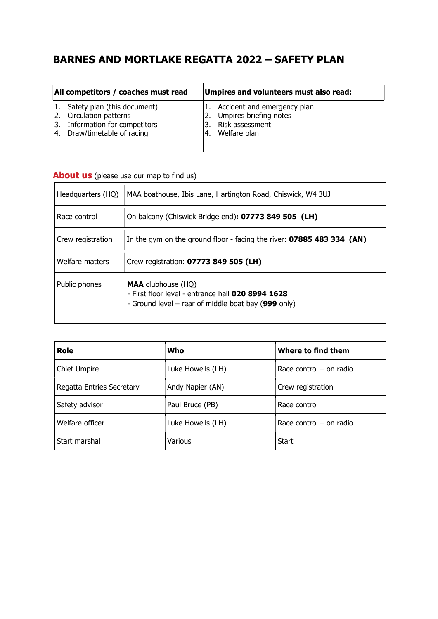# BARNES AND MORTLAKE REGATTA 2022 – SAFETY PLAN

| All competitors / coaches must read |                                                                                                                         | Umpires and volunteers must also read: |                                                                                             |
|-------------------------------------|-------------------------------------------------------------------------------------------------------------------------|----------------------------------------|---------------------------------------------------------------------------------------------|
| 3.                                  | 1. Safety plan (this document)<br>2. Circulation patterns<br>Information for competitors<br>4. Draw/timetable of racing |                                        | Accident and emergency plan<br>Umpires briefing notes<br>Risk assessment<br>4. Welfare plan |

| Headquarters (HQ) | MAA boathouse, Ibis Lane, Hartington Road, Chiswick, W4 3UJ                                                                                     |
|-------------------|-------------------------------------------------------------------------------------------------------------------------------------------------|
| Race control      | On balcony (Chiswick Bridge end): 07773 849 505 (LH)                                                                                            |
| Crew registration | In the gym on the ground floor - facing the river: 07885 483 334 (AN)                                                                           |
| Welfare matters   | Crew registration: 07773 849 505 (LH)                                                                                                           |
| Public phones     | <b>MAA</b> clubhouse (HQ)<br>- First floor level - entrance hall 020 8994 1628<br>- Ground level – rear of middle boat bay $(999 \text{ only})$ |

|  | <b>About us</b> (please use our map to find us) |  |
|--|-------------------------------------------------|--|
|--|-------------------------------------------------|--|

| <b>Role</b>               | Who               | Where to find them        |
|---------------------------|-------------------|---------------------------|
| Chief Umpire              | Luke Howells (LH) | Race control $-$ on radio |
| Regatta Entries Secretary | Andy Napier (AN)  | Crew registration         |
| Safety advisor            | Paul Bruce (PB)   | Race control              |
| Welfare officer           | Luke Howells (LH) | Race control $-$ on radio |
| Start marshal             | Various           | Start                     |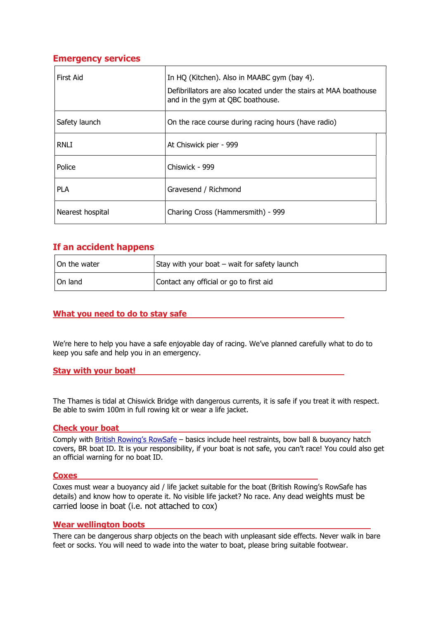# Emergency services

| First Aid        | In HQ (Kitchen). Also in MAABC gym (bay 4).<br>Defibrillators are also located under the stairs at MAA boathouse<br>and in the gym at QBC boathouse. |
|------------------|------------------------------------------------------------------------------------------------------------------------------------------------------|
| Safety launch    | On the race course during racing hours (have radio)                                                                                                  |
| <b>RNLI</b>      | At Chiswick pier - 999                                                                                                                               |
| Police           | Chiswick - 999                                                                                                                                       |
| <b>PLA</b>       | Gravesend / Richmond                                                                                                                                 |
| Nearest hospital | Charing Cross (Hammersmith) - 999                                                                                                                    |

# If an accident happens

| On the water | Stay with your boat – wait for safety launch |
|--------------|----------------------------------------------|
| On land      | Contact any official or go to first aid      |

# What you need to do to stay safe

We're here to help you have a safe enjoyable day of racing. We've planned carefully what to do to keep you safe and help you in an emergency.

## Stay with your boat!

The Thames is tidal at Chiswick Bridge with dangerous currents, it is safe if you treat it with respect. Be able to swim 100m in full rowing kit or wear a life jacket.

## Check your boat

Comply with British Rowing's RowSafe – basics include heel restraints, bow ball & buoyancy hatch covers, BR boat ID. It is your responsibility, if your boat is not safe, you can't race! You could also get an official warning for no boat ID.

#### **Coxes**

Coxes must wear a buoyancy aid / life jacket suitable for the boat (British Rowing's RowSafe has details) and know how to operate it. No visible life jacket? No race. Any dead weights must be carried loose in boat (i.e. not attached to cox)

#### Wear wellington boots

There can be dangerous sharp objects on the beach with unpleasant side effects. Never walk in bare feet or socks. You will need to wade into the water to boat, please bring suitable footwear.